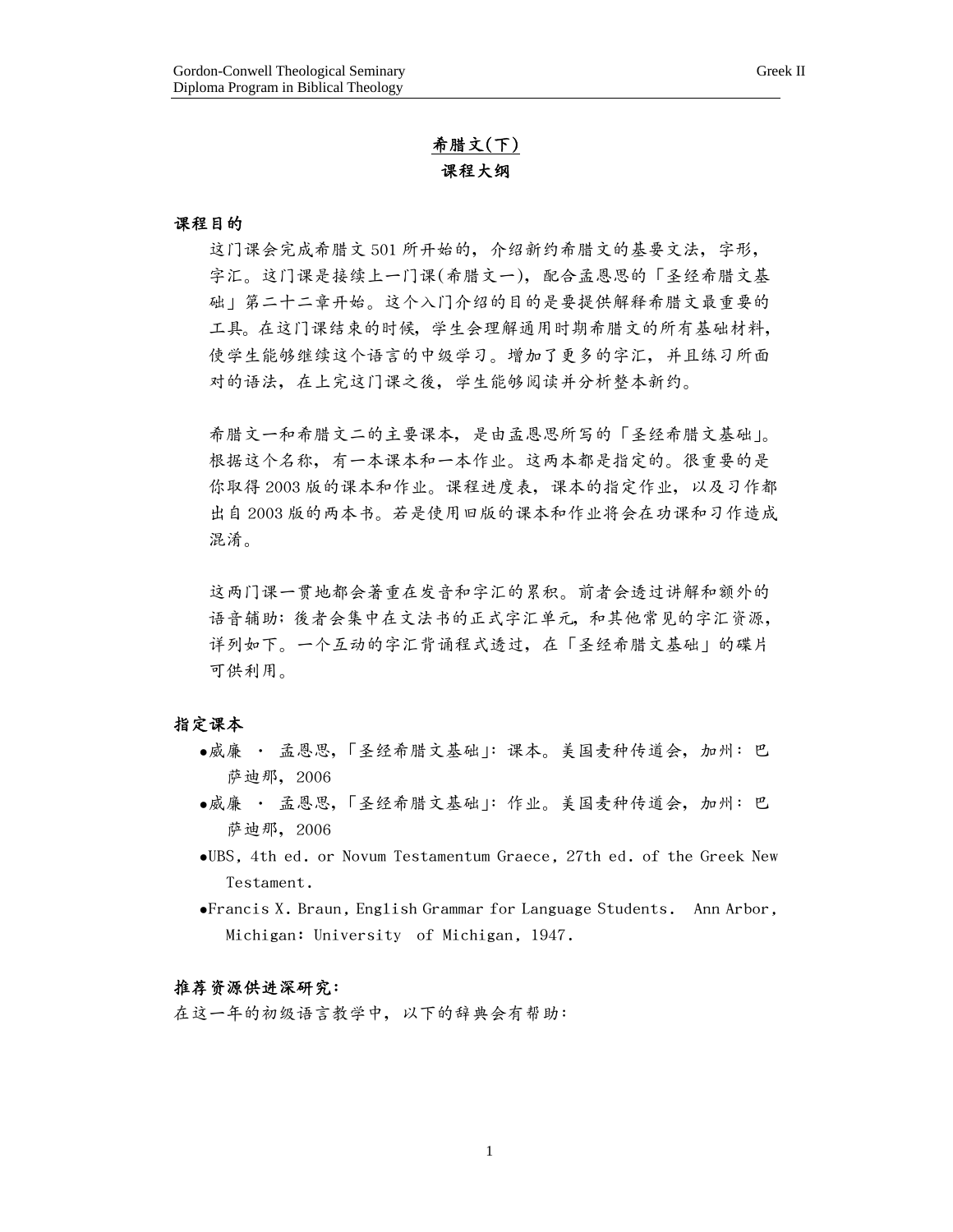# 希臘文(下) 課程大綱

#### 課程目的

这门课会完成希腊文 501 所开始的,介绍新约希腊文的基要文法,字形, 字汇。这门课是接续上一门课(希腊文一),配合孟恩思的「圣经希腊文基 础」第二十二章开始。这个入门介绍的目的是要提供解释希腊文最重要的 工具。在這門課結束的時候,學生會理解通用時期希臘文的所有基礎材料, 使学生能够继续这个语言的中级学习。增加了更多的字汇,并且练习所面 對的語法,在上完這門課之後,學生能夠閱讀並分析整本新約。

希臘文一和希臘文二的主要課本,是由孟恩思所寫的「聖經希臘文基礎」。 根据这个名称,有一本课本和一本作业。这两本都是指定的。很重要的是 你取得 2003 版的课本和作业。课程进度表,课本的指定作业,以及习作都 出自 2003 版的两本书。若是使用旧版的课本和作业将会在功课和习作造成 混淆。

这两门课一贯地都会著重在发音和字汇的累积。前者会透过讲解和额外的 语音辅助;後者会集中在文法书的正式字汇单元,和其他常见的字汇资源, 详列如下。一个互动的字汇背诵程式透过,在「圣经希腊文基础」的碟片 可供利用。

#### 指定課本

- ●威廉 孟恩思,「圣经希腊文基础 |: 课本。美国麦种传道会, 加州: 巴 薩迪那,2006
- ●威廉 孟恩思,「圣经希腊文基础」:作业。美国麦种传道会, 加州: 巴 薩迪那,2006
- •UBS, 4th ed. or Novum Testamentum Graece, 27th ed. of the Greek New Testament.
- •Francis X. Braun, English Grammar for Language Students. Ann Arbor, Michigan: University of Michigan, 1947.

## 推薦資源供進深研究:

在這一年的初級語言教學中,以下的辭典會有幫助: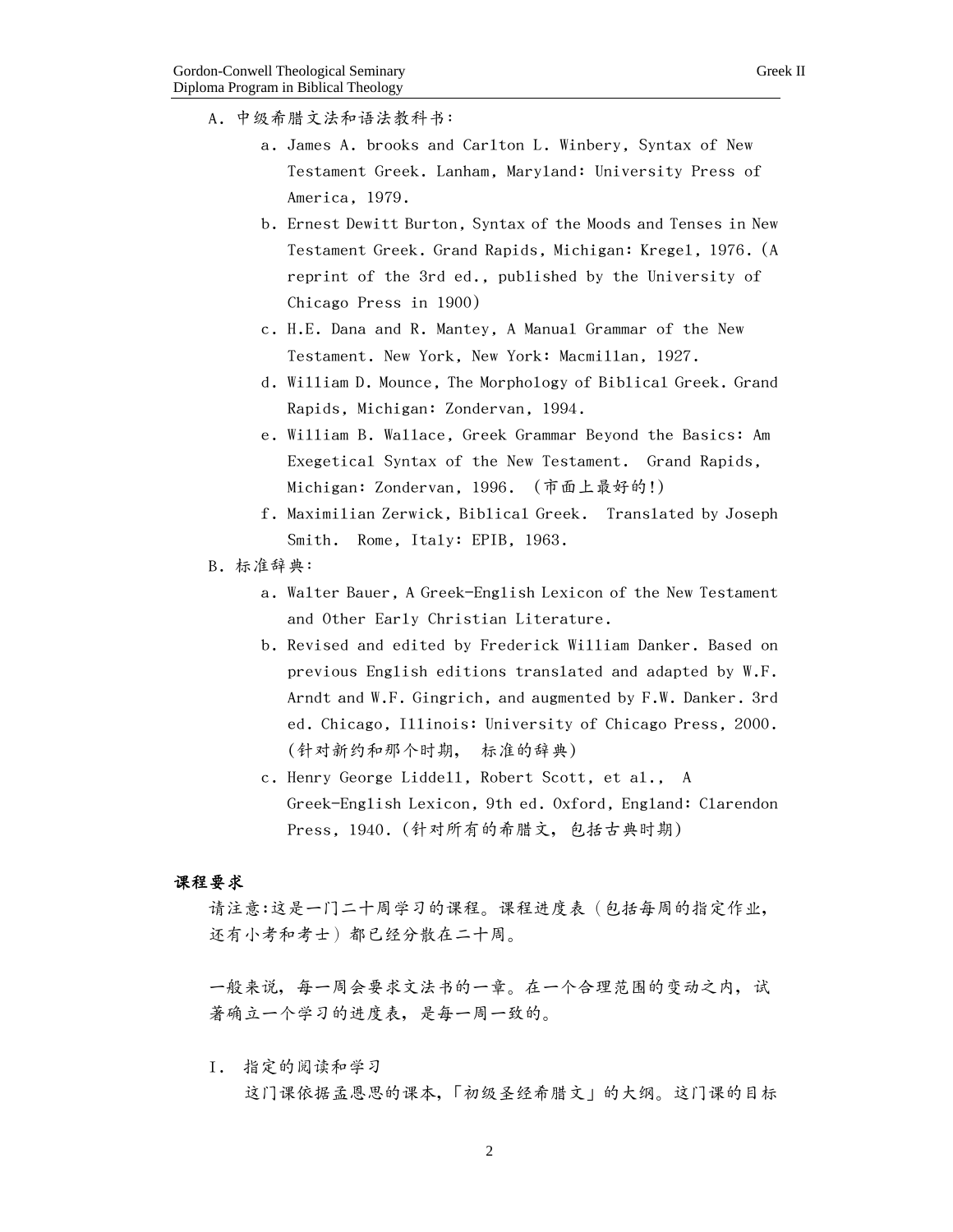- A. 中級希臘文法和語法教科書:
	- a. James A. brooks and Carlton L. Winbery, Syntax of New Testament Greek. Lanham, Maryland: University Press of America, 1979.
	- b. Ernest Dewitt Burton, Syntax of the Moods and Tenses in New Testament Greek. Grand Rapids, Michigan: Kregel, 1976. (A reprint of the 3rd ed., published by the University of Chicago Press in 1900)
	- c. H.E. Dana and R. Mantey, A Manual Grammar of the New Testament. New York, New York: Macmillan, 1927.
	- d. William D. Mounce, The Morphology of Biblical Greek. Grand Rapids, Michigan: Zondervan, 1994.
	- e. William B. Wallace, Greek Grammar Beyond the Basics: Am Exegetical Syntax of the New Testament. Grand Rapids, Michigan: Zondervan, 1996. (市面上最好的!)
	- f. Maximilian Zerwick, Biblical Greek. Translated by Joseph Smith. Rome, Italy: EPIB, 1963.
- B. 標準辭典:
	- a. Walter Bauer, A Greek-English Lexicon of the New Testament and Other Early Christian Literature.
	- b. Revised and edited by Frederick William Danker. Based on previous English editions translated and adapted by W.F. Arndt and W.F. Gingrich, and augmented by F.W. Danker. 3rd ed. Chicago, Illinois: University of Chicago Press, 2000. (针对新约和那个时期, 标准的辞典)
	- c. Henry George Liddell, Robert Scott, et al., A Greek-English Lexicon, 9th ed. Oxford, England: Clarendon Press, 1940. (針對所有的希臘文,包括古典時期)

### 課程要求

请注意:这是一门二十周学习的课程。课程进度表(包括每周的指定作业, 還有小考和考士)都已經分散在二十週。

一般來說,每一週會要求文法書的一章。在一個合理範圍的變動之內,試 著确立一个学习的进度表,是每一周一致的。

I. 指定的閱讀和學習 这门课依据孟恩思的课本,「初级圣经希腊文」的大纲。这门课的目标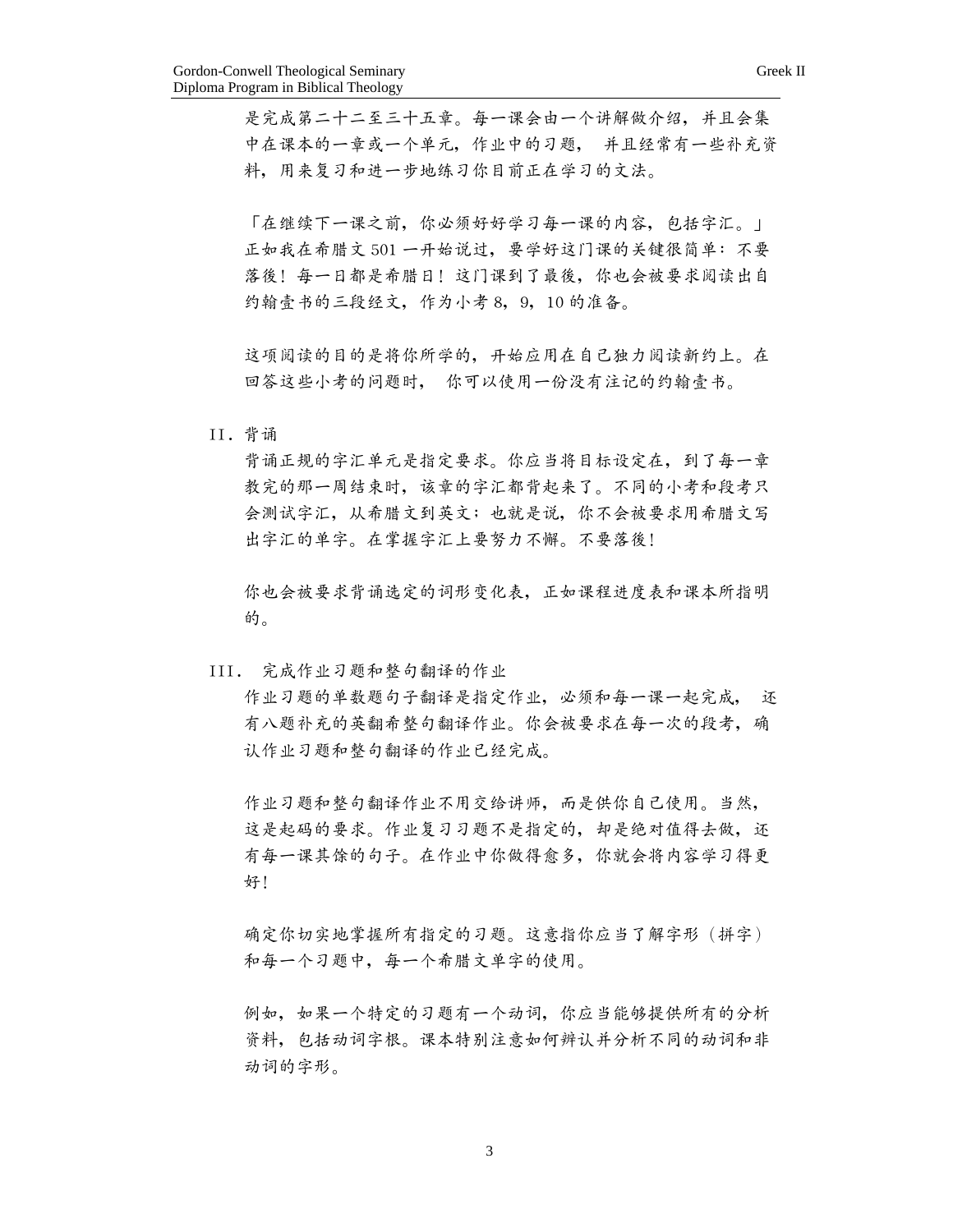是完成第二十二至三十五章。每一课会由一个讲解做介绍,并且会集 中在课本的一章或一个单元,作业中的习题, 并且经常有一些补充资 料,用來複習和進一步地練習你目前正在學習的文法。

「在继续下一课之前,你必须好好学习每一课的内容,包括字汇。」 正如我在希腊文 501 一开始说过,要学好这门课的关键很简单:不要 落後! 每一日都是希腊日! 这门课到了最後, 你也会被要求阅读出自 約翰壹書的三段經文,作為小考 8,9,10 的準備。

这项阅读的目的是将你所学的,开始应用在自己独力阅读新约上。在 回答這些小考的問題時, 你可以使用一份沒有註記的約翰壹書。

II. 背誦

背诵正规的字汇单元是指定要求。你应当将目标设定在,到了每一章 教完的那一周结束时,该章的字汇都背起来了。不同的小考和段考只 会测试字汇, 从希腊文到英文;也就是说, 你不会被要求用希腊文写 出字汇的单字。在掌握字汇上要努力不懈。不要落後!

你也會被要求背誦選定的詞形變化表,正如課程進度表和課本所指明 的。

III. 完成作业习题和整句翻译的作业

作业习题的单数题句子翻译是指定作业,必须和每一课一起完成, 还 有八题补充的英翻希整句翻译作业。你会被要求在每一次的段考,确 认作业习题和整句翻译的作业已经完成。

作业习题和整句翻译作业不用交给讲师,而是供你自己使用。当然, 这是起码的要求。作业复习习题不是指定的,却是绝对值得去做,还 有每一课其馀的句子。在作业中你做得愈多,你就会将内容学习得更 好!

确定你切实地掌握所有指定的习题。这意指你应当了解字形(拼字) 和每一个习题中,每一个希腊文单字的使用。

例如,如果一个特定的习题有一个动词,你应当能够提供所有的分析 资料,包括动词字根。课本特别注意如何辨认并分析不同的动词和非 動詞的字形。